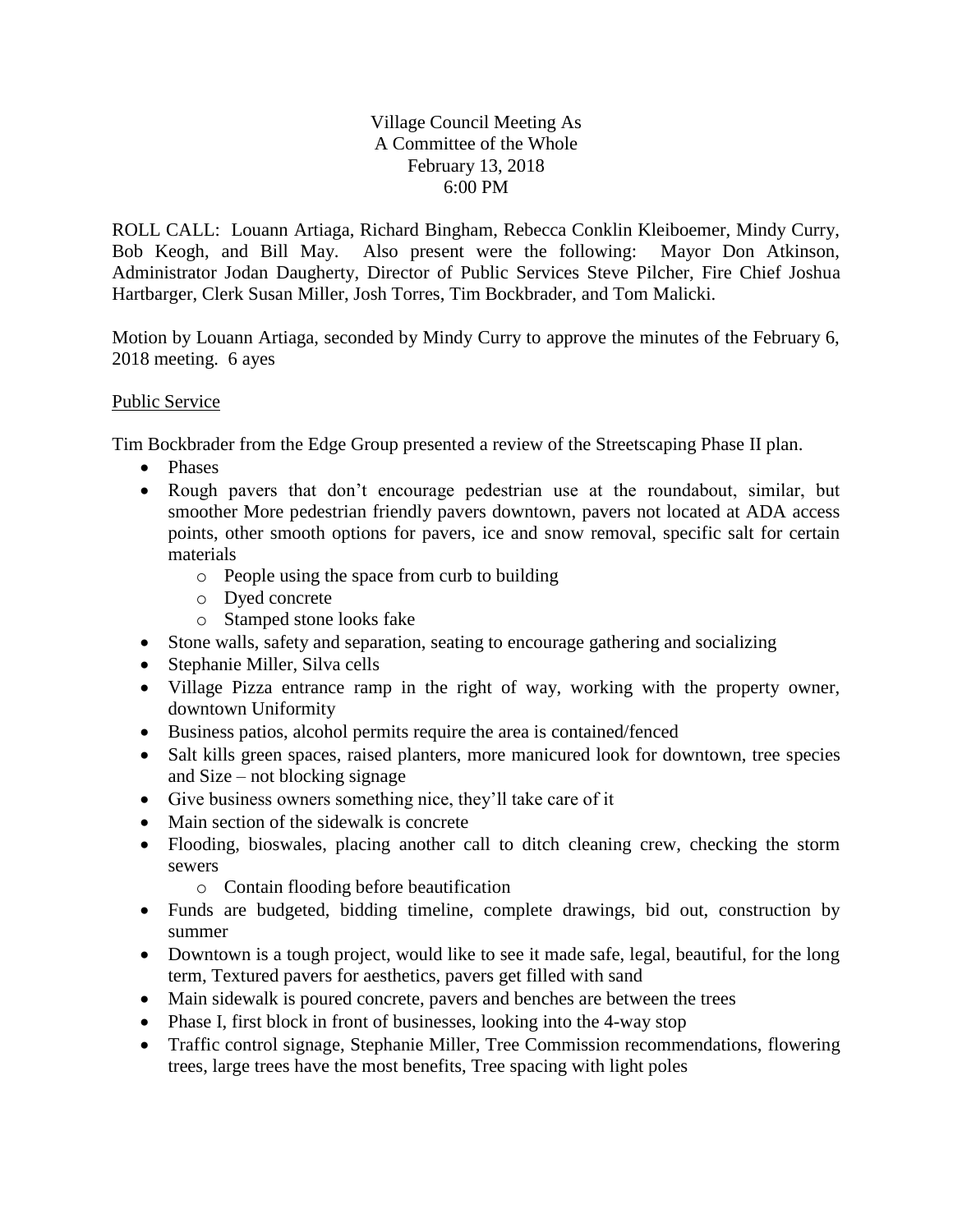## Village Council Meeting As A Committee of the Whole February 13, 2018 6:00 PM

ROLL CALL: Louann Artiaga, Richard Bingham, Rebecca Conklin Kleiboemer, Mindy Curry, Bob Keogh, and Bill May. Also present were the following: Mayor Don Atkinson, Administrator Jodan Daugherty, Director of Public Services Steve Pilcher, Fire Chief Joshua Hartbarger, Clerk Susan Miller, Josh Torres, Tim Bockbrader, and Tom Malicki.

Motion by Louann Artiaga, seconded by Mindy Curry to approve the minutes of the February 6, 2018 meeting. 6 ayes

## Public Service

Tim Bockbrader from the Edge Group presented a review of the Streetscaping Phase II plan.

- Phases
- Rough pavers that don't encourage pedestrian use at the roundabout, similar, but smoother More pedestrian friendly pavers downtown, pavers not located at ADA access points, other smooth options for pavers, ice and snow removal, specific salt for certain materials
	- o People using the space from curb to building
	- o Dyed concrete
	- o Stamped stone looks fake
- Stone walls, safety and separation, seating to encourage gathering and socializing
- Stephanie Miller, Silva cells
- Village Pizza entrance ramp in the right of way, working with the property owner, downtown Uniformity
- Business patios, alcohol permits require the area is contained/fenced
- Salt kills green spaces, raised planters, more manicured look for downtown, tree species and Size – not blocking signage
- Give business owners something nice, they'll take care of it
- Main section of the sidewalk is concrete
- Flooding, bioswales, placing another call to ditch cleaning crew, checking the storm sewers
	- o Contain flooding before beautification
- Funds are budgeted, bidding timeline, complete drawings, bid out, construction by summer
- Downtown is a tough project, would like to see it made safe, legal, beautiful, for the long term, Textured pavers for aesthetics, pavers get filled with sand
- Main sidewalk is poured concrete, pavers and benches are between the trees
- Phase I, first block in front of businesses, looking into the 4-way stop
- Traffic control signage, Stephanie Miller, Tree Commission recommendations, flowering trees, large trees have the most benefits, Tree spacing with light poles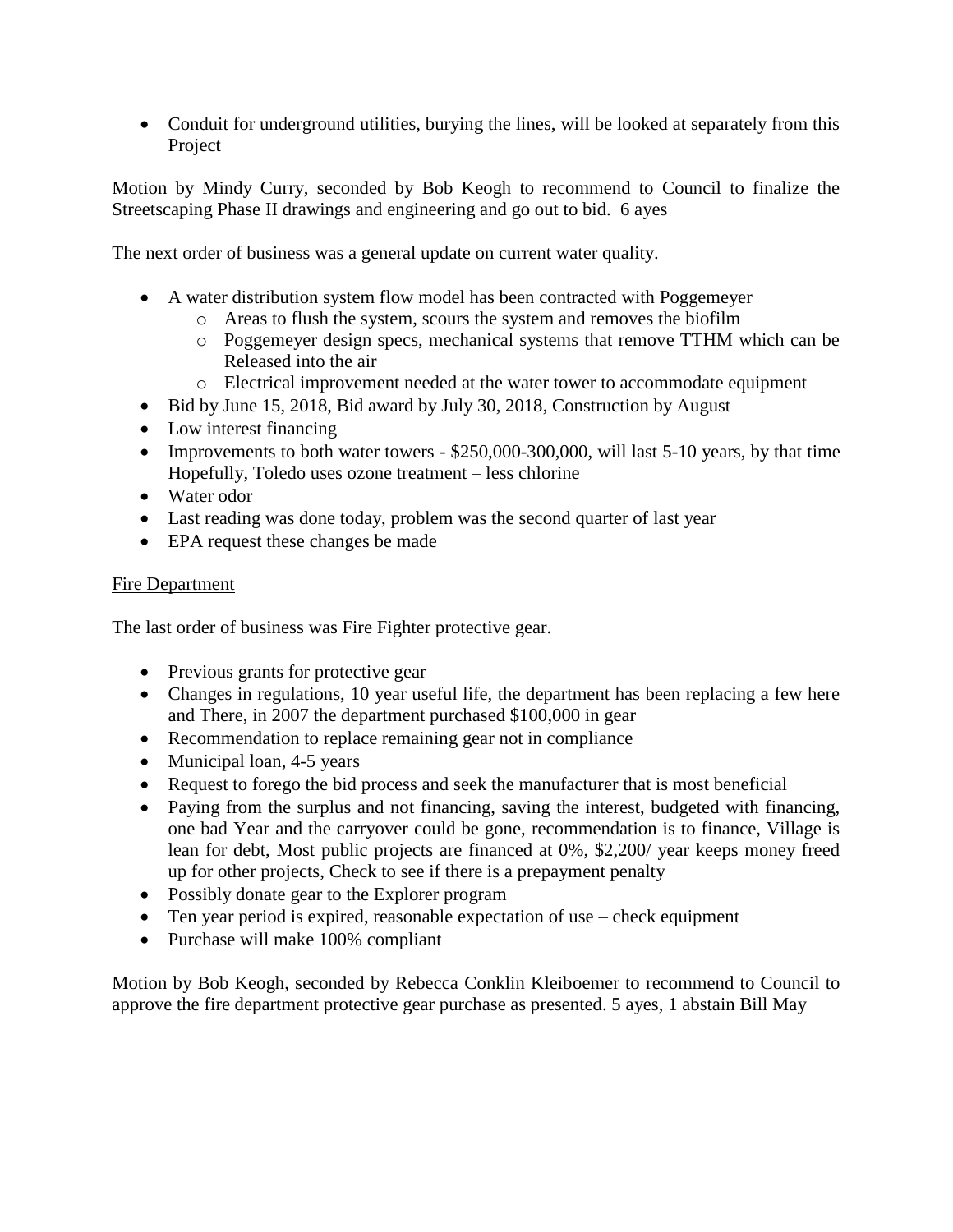• Conduit for underground utilities, burying the lines, will be looked at separately from this Project

Motion by Mindy Curry, seconded by Bob Keogh to recommend to Council to finalize the Streetscaping Phase II drawings and engineering and go out to bid. 6 ayes

The next order of business was a general update on current water quality.

- A water distribution system flow model has been contracted with Poggemeyer
	- o Areas to flush the system, scours the system and removes the biofilm
	- o Poggemeyer design specs, mechanical systems that remove TTHM which can be Released into the air
	- o Electrical improvement needed at the water tower to accommodate equipment
- Bid by June 15, 2018, Bid award by July 30, 2018, Construction by August
- Low interest financing
- Improvements to both water towers  $-$  \$250,000-300,000, will last 5-10 years, by that time Hopefully, Toledo uses ozone treatment – less chlorine
- Water odor
- Last reading was done today, problem was the second quarter of last year
- EPA request these changes be made

## Fire Department

The last order of business was Fire Fighter protective gear.

- Previous grants for protective gear
- Changes in regulations, 10 year useful life, the department has been replacing a few here and There, in 2007 the department purchased \$100,000 in gear
- Recommendation to replace remaining gear not in compliance
- Municipal loan, 4-5 years
- Request to forego the bid process and seek the manufacturer that is most beneficial
- Paying from the surplus and not financing, saving the interest, budgeted with financing, one bad Year and the carryover could be gone, recommendation is to finance, Village is lean for debt, Most public projects are financed at 0%, \$2,200/ year keeps money freed up for other projects, Check to see if there is a prepayment penalty
- Possibly donate gear to the Explorer program
- Ten year period is expired, reasonable expectation of use check equipment
- Purchase will make 100% compliant

Motion by Bob Keogh, seconded by Rebecca Conklin Kleiboemer to recommend to Council to approve the fire department protective gear purchase as presented. 5 ayes, 1 abstain Bill May